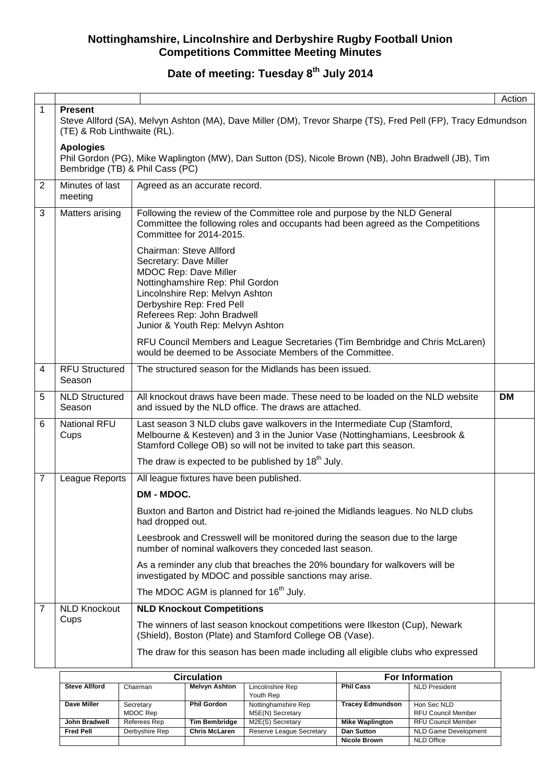# **Date of meeting: Tuesday 8th July 2014**

|                |                                                                                                                                                                                                                                                           |                                                                                                                                                                                                                                   | Action    |  |  |  |  |  |
|----------------|-----------------------------------------------------------------------------------------------------------------------------------------------------------------------------------------------------------------------------------------------------------|-----------------------------------------------------------------------------------------------------------------------------------------------------------------------------------------------------------------------------------|-----------|--|--|--|--|--|
| 1              | <b>Present</b><br>Steve Allford (SA), Melvyn Ashton (MA), Dave Miller (DM), Trevor Sharpe (TS), Fred Pell (FP), Tracy Edmundson<br>(TE) & Rob Linthwaite (RL).                                                                                            |                                                                                                                                                                                                                                   |           |  |  |  |  |  |
|                | <b>Apologies</b><br>Phil Gordon (PG), Mike Waplington (MW), Dan Sutton (DS), Nicole Brown (NB), John Bradwell (JB), Tim<br>Bembridge (TB) & Phil Cass (PC)                                                                                                |                                                                                                                                                                                                                                   |           |  |  |  |  |  |
| $\overline{2}$ | Minutes of last<br>Agreed as an accurate record.<br>meeting                                                                                                                                                                                               |                                                                                                                                                                                                                                   |           |  |  |  |  |  |
| 3              | Matters arising                                                                                                                                                                                                                                           | Following the review of the Committee role and purpose by the NLD General<br>Committee the following roles and occupants had been agreed as the Competitions<br>Committee for 2014-2015.                                          |           |  |  |  |  |  |
|                | Chairman: Steve Allford<br>Secretary: Dave Miller<br><b>MDOC Rep: Dave Miller</b><br>Nottinghamshire Rep: Phil Gordon<br>Lincolnshire Rep: Melvyn Ashton<br>Derbyshire Rep: Fred Pell<br>Referees Rep: John Bradwell<br>Junior & Youth Rep: Melvyn Ashton |                                                                                                                                                                                                                                   |           |  |  |  |  |  |
|                | RFU Council Members and League Secretaries (Tim Bembridge and Chris McLaren)<br>would be deemed to be Associate Members of the Committee.                                                                                                                 |                                                                                                                                                                                                                                   |           |  |  |  |  |  |
| $\overline{4}$ | <b>RFU Structured</b><br>Season                                                                                                                                                                                                                           | The structured season for the Midlands has been issued.                                                                                                                                                                           |           |  |  |  |  |  |
| 5              | <b>NLD Structured</b><br>Season                                                                                                                                                                                                                           | All knockout draws have been made. These need to be loaded on the NLD website<br>and issued by the NLD office. The draws are attached.                                                                                            | <b>DM</b> |  |  |  |  |  |
| 6              | <b>National RFU</b><br>Cups                                                                                                                                                                                                                               | Last season 3 NLD clubs gave walkovers in the Intermediate Cup (Stamford,<br>Melbourne & Kesteven) and 3 in the Junior Vase (Nottinghamians, Leesbrook &<br>Stamford College OB) so will not be invited to take part this season. |           |  |  |  |  |  |
|                |                                                                                                                                                                                                                                                           | The draw is expected to be published by 18 <sup>th</sup> July.                                                                                                                                                                    |           |  |  |  |  |  |
| 7              | League Reports                                                                                                                                                                                                                                            | All league fixtures have been published.                                                                                                                                                                                          |           |  |  |  |  |  |
|                |                                                                                                                                                                                                                                                           | DM - MDOC.                                                                                                                                                                                                                        |           |  |  |  |  |  |
|                |                                                                                                                                                                                                                                                           | Buxton and Barton and District had re-joined the Midlands leagues. No NLD clubs<br>had dropped out.                                                                                                                               |           |  |  |  |  |  |
|                |                                                                                                                                                                                                                                                           | Leesbrook and Cresswell will be monitored during the season due to the large<br>number of nominal walkovers they conceded last season.                                                                                            |           |  |  |  |  |  |
|                |                                                                                                                                                                                                                                                           | As a reminder any club that breaches the 20% boundary for walkovers will be<br>investigated by MDOC and possible sanctions may arise.                                                                                             |           |  |  |  |  |  |
|                |                                                                                                                                                                                                                                                           | The MDOC AGM is planned for 16 <sup>th</sup> July.                                                                                                                                                                                |           |  |  |  |  |  |
| 7              | <b>NLD Knockout</b>                                                                                                                                                                                                                                       | <b>NLD Knockout Competitions</b>                                                                                                                                                                                                  |           |  |  |  |  |  |
|                | Cups                                                                                                                                                                                                                                                      | The winners of last season knockout competitions were Ilkeston (Cup), Newark<br>(Shield), Boston (Plate) and Stamford College OB (Vase).                                                                                          |           |  |  |  |  |  |
|                |                                                                                                                                                                                                                                                           | The draw for this season has been made including all eligible clubs who expressed                                                                                                                                                 |           |  |  |  |  |  |
|                |                                                                                                                                                                                                                                                           | Circulation<br><b>For Information</b>                                                                                                                                                                                             |           |  |  |  |  |  |

|                      | Circulation           | <b>For Information</b> |                                         |                         |                                          |
|----------------------|-----------------------|------------------------|-----------------------------------------|-------------------------|------------------------------------------|
| <b>Steve Allford</b> | Chairman              | <b>Melvyn Ashton</b>   | Lincolnshire Rep<br>Youth Rep           | <b>Phil Cass</b>        | <b>NLD President</b>                     |
| Dave Miller          | Secretary<br>MDOC Rep | <b>Phil Gordon</b>     | Nottinghamshire Rep<br>M5E(N) Secretary | <b>Tracey Edmundson</b> | Hon Sec NLD<br><b>RFU Council Member</b> |
| John Bradwell        | Referees Rep          | <b>Tim Bembridge</b>   | M2E(S) Secretary                        | <b>Mike Waplington</b>  | <b>RFU Council Member</b>                |
| <b>Fred Pell</b>     | Derbyshire Rep        | <b>Chris McLaren</b>   | Reserve League Secretary                | Dan Sutton              | <b>NLD Game Development</b>              |
|                      |                       |                        |                                         | <b>Nicole Brown</b>     | <b>NLD Office</b>                        |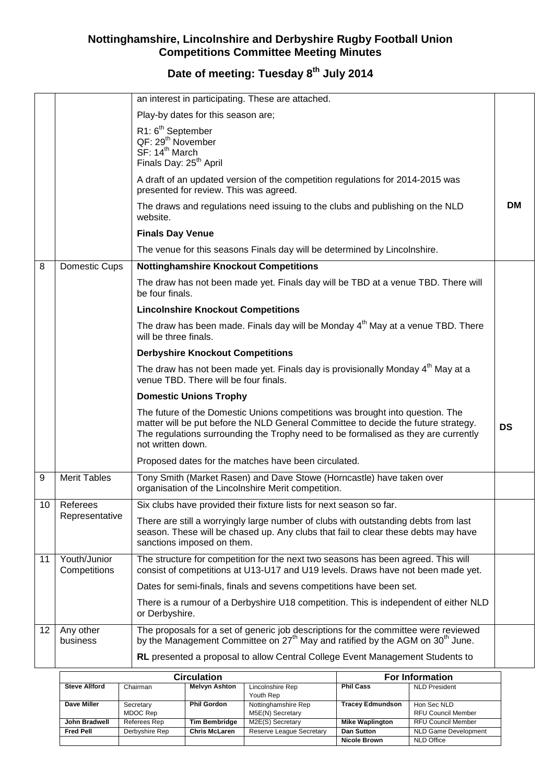# **Date of meeting: Tuesday 8th July 2014**

|                 |                              | an interest in participating. These are attached.                                                                                                                                                                                                                              |           |
|-----------------|------------------------------|--------------------------------------------------------------------------------------------------------------------------------------------------------------------------------------------------------------------------------------------------------------------------------|-----------|
|                 |                              | Play-by dates for this season are;                                                                                                                                                                                                                                             |           |
|                 |                              | R1: 6 <sup>th</sup> September<br>QF: 29 <sup>th</sup> November<br>SF: 14 <sup>th</sup> March<br>Finals Day: 25 <sup>th</sup> April                                                                                                                                             |           |
|                 |                              | A draft of an updated version of the competition regulations for 2014-2015 was<br>presented for review. This was agreed.                                                                                                                                                       |           |
|                 |                              | The draws and regulations need issuing to the clubs and publishing on the NLD<br>website.                                                                                                                                                                                      | <b>DM</b> |
|                 |                              | <b>Finals Day Venue</b>                                                                                                                                                                                                                                                        |           |
|                 |                              | The venue for this seasons Finals day will be determined by Lincolnshire.                                                                                                                                                                                                      |           |
| 8               | Domestic Cups                | <b>Nottinghamshire Knockout Competitions</b>                                                                                                                                                                                                                                   |           |
|                 |                              | The draw has not been made yet. Finals day will be TBD at a venue TBD. There will<br>be four finals.                                                                                                                                                                           |           |
|                 |                              | <b>Lincolnshire Knockout Competitions</b>                                                                                                                                                                                                                                      |           |
|                 |                              | The draw has been made. Finals day will be Monday 4 <sup>th</sup> May at a venue TBD. There<br>will be three finals.                                                                                                                                                           |           |
|                 |                              | <b>Derbyshire Knockout Competitions</b>                                                                                                                                                                                                                                        |           |
|                 |                              | The draw has not been made yet. Finals day is provisionally Monday 4 <sup>th</sup> May at a<br>venue TBD. There will be four finals.                                                                                                                                           |           |
|                 |                              | <b>Domestic Unions Trophy</b>                                                                                                                                                                                                                                                  |           |
|                 |                              | The future of the Domestic Unions competitions was brought into question. The<br>matter will be put before the NLD General Committee to decide the future strategy.<br>The regulations surrounding the Trophy need to be formalised as they are currently<br>not written down. | <b>DS</b> |
|                 |                              | Proposed dates for the matches have been circulated.                                                                                                                                                                                                                           |           |
| 9               | <b>Merit Tables</b>          | Tony Smith (Market Rasen) and Dave Stowe (Horncastle) have taken over<br>organisation of the Lincolnshire Merit competition.                                                                                                                                                   |           |
| 10 I            | Referees                     | Six clubs have provided their fixture lists for next season so far.                                                                                                                                                                                                            |           |
|                 | Representative               | There are still a worryingly large number of clubs with outstanding debts from last<br>season. These will be chased up. Any clubs that fail to clear these debts may have<br>sanctions imposed on them.                                                                        |           |
| 11              | Youth/Junior<br>Competitions | The structure for competition for the next two seasons has been agreed. This will<br>consist of competitions at U13-U17 and U19 levels. Draws have not been made yet.                                                                                                          |           |
|                 |                              | Dates for semi-finals, finals and sevens competitions have been set.                                                                                                                                                                                                           |           |
|                 |                              | There is a rumour of a Derbyshire U18 competition. This is independent of either NLD<br>or Derbyshire.                                                                                                                                                                         |           |
| 12 <sup>°</sup> | Any other<br>business        | The proposals for a set of generic job descriptions for the committee were reviewed<br>by the Management Committee on 27 <sup>th</sup> May and ratified by the AGM on 30 <sup>th</sup> June.                                                                                   |           |
|                 |                              | RL presented a proposal to allow Central College Event Management Students to                                                                                                                                                                                                  |           |

|                      | <b>Circulation</b>    | <b>For Information</b> |                                         |                         |                                          |
|----------------------|-----------------------|------------------------|-----------------------------------------|-------------------------|------------------------------------------|
| <b>Steve Allford</b> | Chairman              | <b>Melvyn Ashton</b>   | Lincolnshire Rep<br>Youth Rep           | <b>Phil Cass</b>        | <b>NLD President</b>                     |
| Dave Miller          | Secretary<br>MDOC Rep | <b>Phil Gordon</b>     | Nottinghamshire Rep<br>M5E(N) Secretary | <b>Tracey Edmundson</b> | Hon Sec NLD<br><b>RFU Council Member</b> |
| John Bradwell        | Referees Rep          | <b>Tim Bembridge</b>   | M2E(S) Secretary                        | <b>Mike Waplington</b>  | <b>RFU Council Member</b>                |
| <b>Fred Pell</b>     | Derbyshire Rep        | <b>Chris McLaren</b>   | Reserve League Secretary                | Dan Sutton              | <b>NLD Game Development</b>              |
|                      |                       |                        |                                         | <b>Nicole Brown</b>     | <b>NLD Office</b>                        |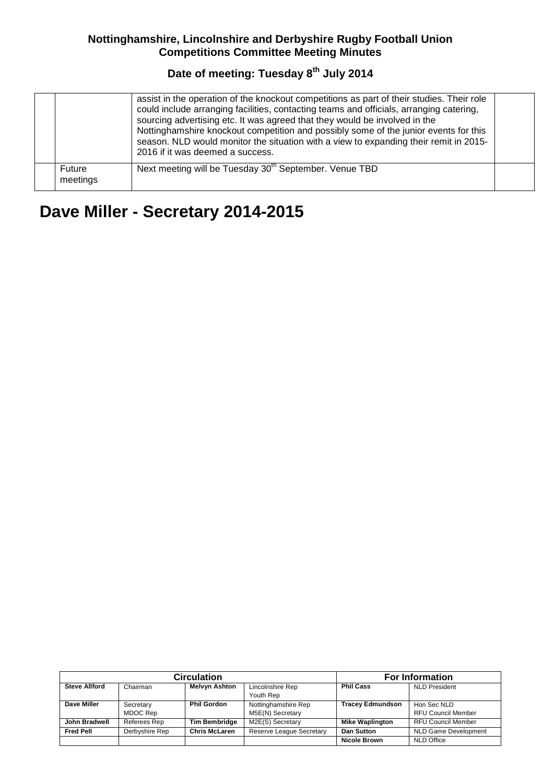## **Date of meeting: Tuesday 8th July 2014**

|                    | assist in the operation of the knockout competitions as part of their studies. Their role<br>could include arranging facilities, contacting teams and officials, arranging catering,<br>sourcing advertising etc. It was agreed that they would be involved in the<br>Nottinghamshire knockout competition and possibly some of the junior events for this<br>season. NLD would monitor the situation with a view to expanding their remit in 2015-<br>2016 if it was deemed a success. |  |
|--------------------|-----------------------------------------------------------------------------------------------------------------------------------------------------------------------------------------------------------------------------------------------------------------------------------------------------------------------------------------------------------------------------------------------------------------------------------------------------------------------------------------|--|
| Future<br>meetings | Next meeting will be Tuesday 30 <sup>th</sup> September. Venue TBD                                                                                                                                                                                                                                                                                                                                                                                                                      |  |

# **Dave Miller - Secretary 2014-2015**

|                      | <b>Circulation</b> | <b>For Information</b> |                          |                         |                             |
|----------------------|--------------------|------------------------|--------------------------|-------------------------|-----------------------------|
| <b>Steve Allford</b> | Chairman           | <b>Melvyn Ashton</b>   | Lincolnshire Rep         | <b>Phil Cass</b>        | <b>NLD President</b>        |
|                      |                    |                        | Youth Rep                |                         |                             |
| Dave Miller          | Secretary          | <b>Phil Gordon</b>     | Nottinghamshire Rep      | <b>Tracey Edmundson</b> | Hon Sec NLD                 |
|                      | MDOC Rep           |                        | M5E(N) Secretary         |                         | <b>RFU Council Member</b>   |
| John Bradwell        | Referees Rep       | <b>Tim Bembridge</b>   | M2E(S) Secretary         | <b>Mike Waplington</b>  | <b>RFU Council Member</b>   |
| <b>Fred Pell</b>     | Derbyshire Rep     | <b>Chris McLaren</b>   | Reserve League Secretary | Dan Sutton              | <b>NLD Game Development</b> |
|                      |                    |                        |                          | <b>Nicole Brown</b>     | <b>NLD Office</b>           |